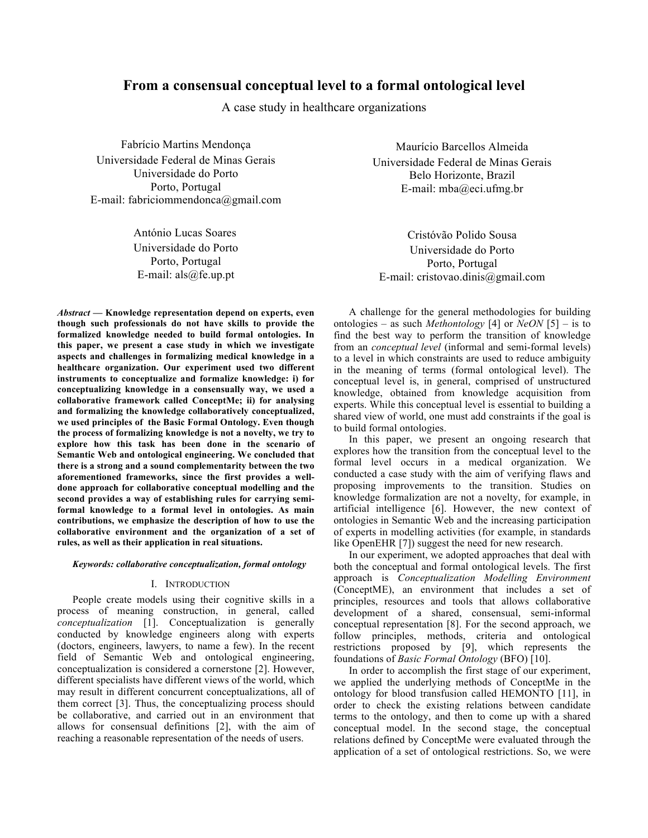# **From a consensual conceptual level to a formal ontological level**

A case study in healthcare organizations

Fabrício Martins Mendonça Universidade Federal de Minas Gerais Universidade do Porto Porto, Portugal E-mail: fabriciommendonca@gmail.com

> António Lucas Soares Universidade do Porto Porto, Portugal E-mail: als@fe.up.pt

*Abstract* **— Knowledge representation depend on experts, even though such professionals do not have skills to provide the formalized knowledge needed to build formal ontologies. In this paper, we present a case study in which we investigate aspects and challenges in formalizing medical knowledge in a healthcare organization. Our experiment used two different instruments to conceptualize and formalize knowledge: i) for conceptualizing knowledge in a consensually way, we used a collaborative framework called ConceptMe; ii) for analysing and formalizing the knowledge collaboratively conceptualized, we used principles of the Basic Formal Ontology. Even though the process of formalizing knowledge is not a novelty, we try to explore how this task has been done in the scenario of Semantic Web and ontological engineering. We concluded that there is a strong and a sound complementarity between the two aforementioned frameworks, since the first provides a welldone approach for collaborative conceptual modelling and the second provides a way of establishing rules for carrying semiformal knowledge to a formal level in ontologies. As main contributions, we emphasize the description of how to use the collaborative environment and the organization of a set of rules, as well as their application in real situations.**

## *Keywords: collaborative conceptualization, formal ontology*

## I. INTRODUCTION

People create models using their cognitive skills in a process of meaning construction, in general, called *conceptualization* [1]. Conceptualization is generally conducted by knowledge engineers along with experts (doctors, engineers, lawyers, to name a few). In the recent field of Semantic Web and ontological engineering, conceptualization is considered a cornerstone [2]. However, different specialists have different views of the world, which may result in different concurrent conceptualizations, all of them correct [3]. Thus, the conceptualizing process should be collaborative, and carried out in an environment that allows for consensual definitions [2], with the aim of reaching a reasonable representation of the needs of users.

Maurício Barcellos Almeida Universidade Federal de Minas Gerais Belo Horizonte, Brazil E-mail: mba@eci.ufmg.br

Cristóvão Polido Sousa Universidade do Porto Porto, Portugal E-mail: cristovao.dinis@gmail.com

A challenge for the general methodologies for building ontologies – as such *Methontology* [4] or *NeON* [5] – is to find the best way to perform the transition of knowledge from an *conceptual level* (informal and semi-formal levels) to a level in which constraints are used to reduce ambiguity in the meaning of terms (formal ontological level). The conceptual level is, in general, comprised of unstructured knowledge, obtained from knowledge acquisition from experts. While this conceptual level is essential to building a shared view of world, one must add constraints if the goal is to build formal ontologies.

In this paper, we present an ongoing research that explores how the transition from the conceptual level to the formal level occurs in a medical organization. We conducted a case study with the aim of verifying flaws and proposing improvements to the transition. Studies on knowledge formalization are not a novelty, for example, in artificial intelligence [6]. However, the new context of ontologies in Semantic Web and the increasing participation of experts in modelling activities (for example, in standards like OpenEHR [7]) suggest the need for new research.

In our experiment, we adopted approaches that deal with both the conceptual and formal ontological levels. The first approach is *Conceptualization Modelling Environment* (ConceptME), an environment that includes a set of principles, resources and tools that allows collaborative development of a shared, consensual, semi-informal conceptual representation [8]. For the second approach, we follow principles, methods, criteria and ontological restrictions proposed by [9], which represents the foundations of *Basic Formal Ontology* (BFO) [10].

In order to accomplish the first stage of our experiment, we applied the underlying methods of ConceptMe in the ontology for blood transfusion called HEMONTO [11], in order to check the existing relations between candidate terms to the ontology, and then to come up with a shared conceptual model. In the second stage, the conceptual relations defined by ConceptMe were evaluated through the application of a set of ontological restrictions. So, we were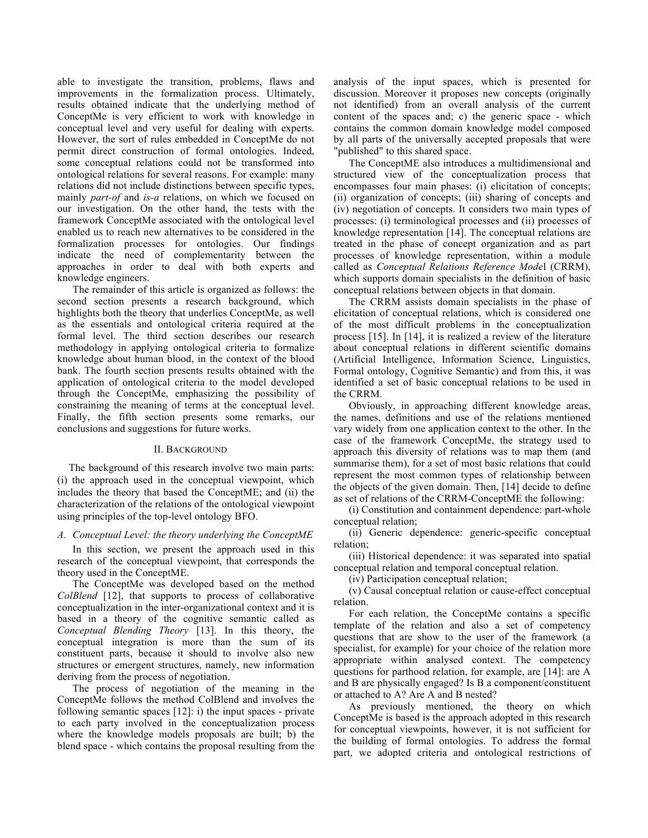able to investigate the transition, problems, flaws and improvements in the formalization process. Ultimately, results obtained indicate that the underlying method of ConceptMe is very efficient to work with knowledge in conceptual level and very useful for dealing with experts. However, the sort of rules embedded in ConceptMe do not permit direct construction of formal ontologies. Indeed, some conceptual relations could not be transformed into ontological relations for several reasons. For example: many relations did not include distinctions between specific types, mainly *part-of* and *is-a* relations, on which we focused on our investigation. On the other hand, the tests with the framework ConceptMe associated with the ontological level enabled us to reach new alternatives to be considered in the formalization processes for ontologies. Our findings indicate the need of complementarity between the approaches in order to deal with both experts and knowledge engineers.

The remainder of this article is organized as follows: the second section presents a research background, which highlights both the theory that underlies ConceptMe, as well as the essentials and ontological criteria required at the formal level. The third section describes our research methodology in applying ontological criteria to formalize knowledge about human blood, in the context of the blood bank. The fourth section presents results obtained with the application of ontological criteria to the model developed through the ConceptMe, emphasizing the possibility of constraining the meaning of terms at the conceptual level. Finally, the fifth section presents some remarks, our conclusions and suggestions for future works.

# II. BACKGROUND

The background of this research involve two main parts: (i) the approach used in the conceptual viewpoint, which includes the theory that based the ConceptME; and (ii) the characterization of the relations of the ontological viewpoint using principles of the top-level ontology BFO.

## *A. Conceptual Level: the theory underlying the ConceptME*

In this section, we present the approach used in this research of the conceptual viewpoint, that corresponds the theory used in the ConceptME.

The ConceptMe was developed based on the method *ColBlend* [12], that supports to process of collaborative conceptualization in the inter-organizational context and it is based in a theory of the cognitive semantic called as *Conceptual Blending Theory* [13]. In this theory, the conceptual integration is more than the sum of its constituent parts, because it should to involve also new structures or emergent structures, namely, new information deriving from the process of negotiation.

The process of negotiation of the meaning in the ConceptMe follows the method ColBlend and involves the following semantic spaces [12]: i) the input spaces - private to each party involved in the conceptualization process where the knowledge models proposals are built; b) the blend space - which contains the proposal resulting from the

analysis of the input spaces, which is presented for discussion. Moreover it proposes new concepts (originally not identified) from an overall analysis of the current content of the spaces and; c) the generic space - which contains the common domain knowledge model composed by all parts of the universally accepted proposals that were "published" to this shared space.

The ConceptME also introduces a multidimensional and structured view of the conceptualization process that encompasses four main phases: (i) elicitation of concepts; (ii) organization of concepts; (iii) sharing of concepts and (iv) negotiation of concepts. It considers two main types of processes: (i) terminological processes and (ii) processes of knowledge representation [14]. The conceptual relations are treated in the phase of concept organization and as part processes of knowledge representation, within a module called as *Conceptual Relations Reference Mode*l (CRRM), which supports domain specialists in the definition of basic conceptual relations between objects in that domain.

The CRRM assists domain specialists in the phase of elicitation of conceptual relations, which is considered one of the most difficult problems in the conceptualization process [15]. In [14], it is realized a review of the literature about conceptual relations in different scientific domains (Artificial Intelligence, Information Science, Linguistics, Formal ontology, Cognitive Semantic) and from this, it was identified a set of basic conceptual relations to be used in the CRRM.

Obviously, in approaching different knowledge areas, the names, definitions and use of the relations mentioned vary widely from one application context to the other. In the case of the framework ConceptMe, the strategy used to approach this diversity of relations was to map them (and summarise them), for a set of most basic relations that could represent the most common types of relationship between the objects of the given domain. Then, [14] decide to define as set of relations of the CRRM-ConceptME the following:

(i) Constitution and containment dependence: part-whole conceptual relation;

(ii) Generic dependence: generic-specific conceptual relation;

(iii) Historical dependence: it was separated into spatial conceptual relation and temporal conceptual relation.

(iv) Participation conceptual relation;

(v) Causal conceptual relation or cause-effect conceptual relation.

For each relation, the ConceptMe contains a specific template of the relation and also a set of competency questions that are show to the user of the framework (a specialist, for example) for your choice of the relation more appropriate within analysed context. The competency questions for parthood relation, for example, are [14]: are A and B are physically engaged? Is B a component/constituent or attached to A? Are A and B nested?

As previously mentioned, the theory on which ConceptMe is based is the approach adopted in this research for conceptual viewpoints, however, it is not sufficient for the building of formal ontologies. To address the formal part, we adopted criteria and ontological restrictions of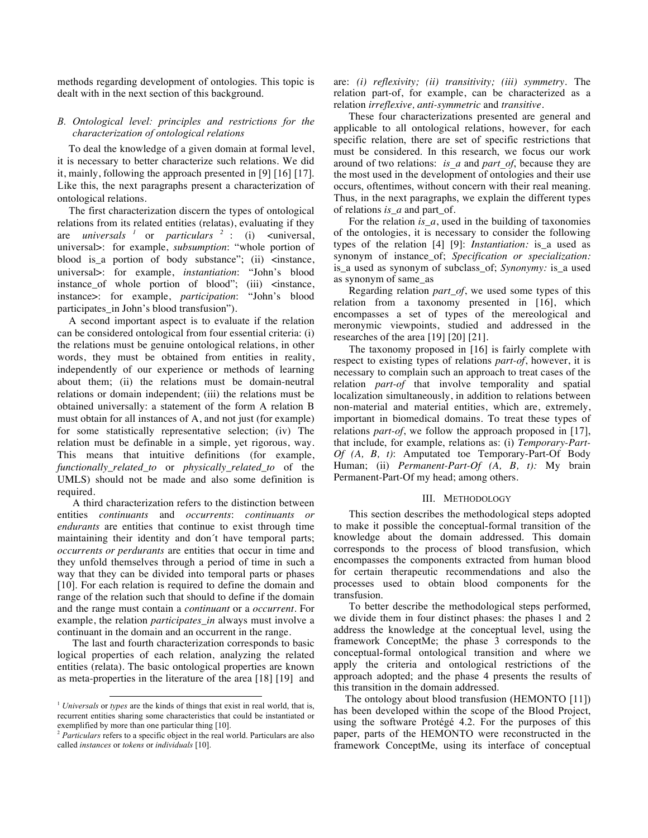methods regarding development of ontologies. This topic is dealt with in the next section of this background.

# *B. Ontological level: principles and restrictions for the characterization of ontological relations*

To deal the knowledge of a given domain at formal level, it is necessary to better characterize such relations. We did it, mainly, following the approach presented in [9] [16] [17]. Like this, the next paragraphs present a characterization of ontological relations.

The first characterization discern the types of ontological relations from its related entities (relatas), evaluating if they are *universals <sup>1</sup>* or *particulars <sup>2</sup>* : (i) <universal, universal>: for example, *subsumption*: "whole portion of blood is a portion of body substance"; (ii) <instance, universal>: for example, *instantiation*: "John's blood instance\_of whole portion of blood"; (iii) <instance, instance>: for example, *participation*: "John's blood participates\_in John's blood transfusion").

A second important aspect is to evaluate if the relation can be considered ontological from four essential criteria: (i) the relations must be genuine ontological relations, in other words, they must be obtained from entities in reality, independently of our experience or methods of learning about them; (ii) the relations must be domain-neutral relations or domain independent; (iii) the relations must be obtained universally: a statement of the form A relation B must obtain for all instances of A, and not just (for example) for some statistically representative selection; (iv) The relation must be definable in a simple, yet rigorous, way. This means that intuitive definitions (for example, *functionally\_related\_to* or *physically\_related\_to* of the UMLS) should not be made and also some definition is required.

A third characterization refers to the distinction between entities *continuants* and *occurrents*: *continuants or endurants* are entities that continue to exist through time maintaining their identity and don´t have temporal parts; *occurrents or perdurants* are entities that occur in time and they unfold themselves through a period of time in such a way that they can be divided into temporal parts or phases [10]. For each relation is required to define the domain and range of the relation such that should to define if the domain and the range must contain a *continuant* or a *occurrent*. For example, the relation *participates in* always must involve a continuant in the domain and an occurrent in the range.

The last and fourth characterization corresponds to basic logical properties of each relation, analyzing the related entities (relata). The basic ontological properties are known as meta-properties in the literature of the area [18] [19] and are: *(i) reflexivity; (ii) transitivity; (iii) symmetry*. The relation part-of, for example, can be characterized as a relation *irreflexive, anti-symmetric* and *transitive*.

These four characterizations presented are general and applicable to all ontological relations, however, for each specific relation, there are set of specific restrictions that must be considered. In this research, we focus our work around of two relations: *is\_a* and *part\_of*, because they are the most used in the development of ontologies and their use occurs, oftentimes, without concern with their real meaning. Thus, in the next paragraphs, we explain the different types of relations *is\_a* and part\_of.

For the relation *is\_a*, used in the building of taxonomies of the ontologies, it is necessary to consider the following types of the relation [4] [9]: *Instantiation:* is\_a used as synonym of instance\_of; *Specification or specialization:* is\_a used as synonym of subclass\_of; *Synonymy:* is\_a used as synonym of same\_as

Regarding relation *part\_of*, we used some types of this relation from a taxonomy presented in [16], which encompasses a set of types of the mereological and meronymic viewpoints, studied and addressed in the researches of the area [19] [20] [21].

The taxonomy proposed in [16] is fairly complete with respect to existing types of relations *part-of*, however, it is necessary to complain such an approach to treat cases of the relation *part-of* that involve temporality and spatial localization simultaneously, in addition to relations between non-material and material entities, which are, extremely, important in biomedical domains. To treat these types of relations *part-of*, we follow the approach proposed in [17], that include, for example, relations as: (i) *Temporary-Part-Of (A, B, t)*: Amputated toe Temporary-Part-Of Body Human; (ii) *Permanent-Part-Of (A, B, t):* My brain Permanent-Part-Of my head; among others.

#### III. METHODOLOGY

This section describes the methodological steps adopted to make it possible the conceptual-formal transition of the knowledge about the domain addressed. This domain corresponds to the process of blood transfusion, which encompasses the components extracted from human blood for certain therapeutic recommendations and also the processes used to obtain blood components for the transfusion.

To better describe the methodological steps performed, we divide them in four distinct phases: the phases 1 and 2 address the knowledge at the conceptual level, using the framework ConceptMe; the phase 3 corresponds to the conceptual-formal ontological transition and where we apply the criteria and ontological restrictions of the approach adopted; and the phase 4 presents the results of this transition in the domain addressed.

The ontology about blood transfusion (HEMONTO [11]) has been developed within the scope of the Blood Project, using the software Protégé 4.2. For the purposes of this paper, parts of the HEMONTO were reconstructed in the framework ConceptMe, using its interface of conceptual

<sup>&</sup>lt;sup>1</sup> *Universals* or *types* are the kinds of things that exist in real world, that is, recurrent entities sharing some characteristics that could be instantiated or exemplified by more than one particular thing [10].

<sup>2</sup> *Particulars* refers to a specific object in the real world. Particulars are also called *instances* or *tokens* or *individuals* [10].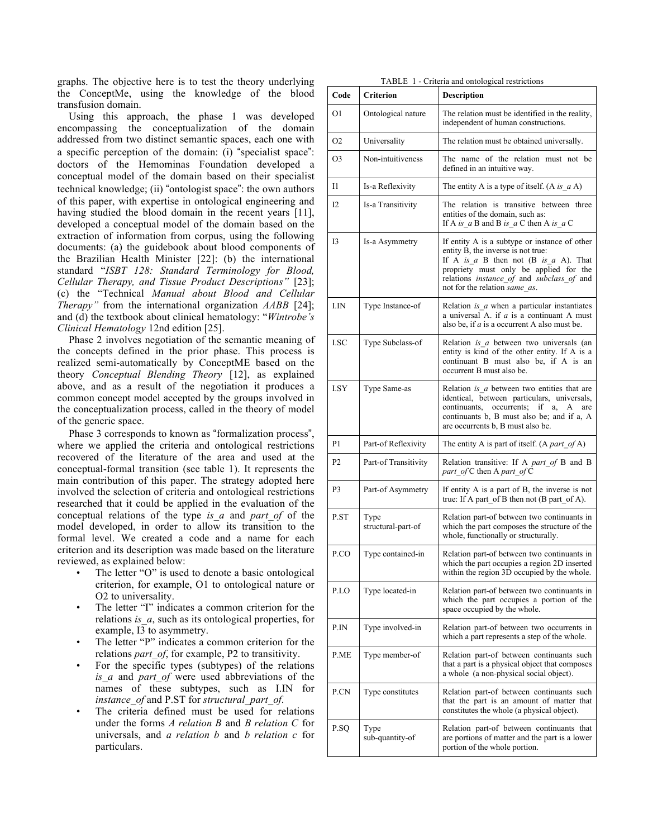graphs. The objective here is to test the theory underlying the ConceptMe, using the knowledge of the blood transfusion domain.

Using this approach, the phase 1 was developed encompassing the conceptualization of the domain addressed from two distinct semantic spaces, each one with a specific perception of the domain: (i) "specialist space": doctors of the Hemominas Foundation developed a conceptual model of the domain based on their specialist technical knowledge; (ii) "ontologist space": the own authors of this paper, with expertise in ontological engineering and having studied the blood domain in the recent years [11], developed a conceptual model of the domain based on the extraction of information from corpus, using the following documents: (a) the guidebook about blood components of the Brazilian Health Minister [22]: (b) the international standard "*ISBT 128: Standard Terminology for Blood, Cellular Therapy, and Tissue Product Descriptions"* [23]; (c) the "Technical *Manual about Blood and Cellular Therapy"* from the international organization *AABB* [24]; and (d) the textbook about clinical hematology: "*Wintrobe's Clinical Hematology* 12nd edition [25].

Phase 2 involves negotiation of the semantic meaning of the concepts defined in the prior phase. This process is realized semi-automatically by ConceptME based on the theory *Conceptual Blending Theory* [12], as explained above, and as a result of the negotiation it produces a common concept model accepted by the groups involved in the conceptualization process, called in the theory of model of the generic space.

Phase 3 corresponds to known as "formalization process", where we applied the criteria and ontological restrictions recovered of the literature of the area and used at the conceptual-formal transition (see table 1). It represents the main contribution of this paper. The strategy adopted here involved the selection of criteria and ontological restrictions researched that it could be applied in the evaluation of the conceptual relations of the type *is\_a* and *part\_of* of the model developed, in order to allow its transition to the formal level. We created a code and a name for each criterion and its description was made based on the literature reviewed, as explained below:

- The letter "O" is used to denote a basic ontological criterion, for example, O1 to ontological nature or O2 to universality.
- The letter "I" indicates a common criterion for the relations *is\_a*, such as its ontological properties, for example, I3 to asymmetry.
- The letter "P" indicates a common criterion for the relations *part\_of*, for example, P2 to transitivity.
- For the specific types (subtypes) of the relations *is\_a* and *part\_of* were used abbreviations of the names of these subtypes, such as I.IN for *instance\_of* and P.ST for *structural\_part\_of*.
- The criteria defined must be used for relations under the forms *A relation B* and *B relation C* for universals, and *a relation b* and *b relation c* for particulars.

| TABLE 1 - Criteria and ontological restrictions |  |  |  |  |  |  |  |
|-------------------------------------------------|--|--|--|--|--|--|--|
|-------------------------------------------------|--|--|--|--|--|--|--|

| Code           | <b>Criterion</b>           | <b>Description</b>                                                                                                                                                                                                                                       |  |  |  |
|----------------|----------------------------|----------------------------------------------------------------------------------------------------------------------------------------------------------------------------------------------------------------------------------------------------------|--|--|--|
| O1             | Ontological nature         | The relation must be identified in the reality,<br>independent of human constructions.                                                                                                                                                                   |  |  |  |
| O <sub>2</sub> | Universality               | The relation must be obtained universally.                                                                                                                                                                                                               |  |  |  |
| O <sub>3</sub> | Non-intuitiveness          | The name of the relation must not be<br>defined in an intuitive way.                                                                                                                                                                                     |  |  |  |
| 11             | Is-a Reflexivity           | The entity A is a type of itself. $(A \text{ is } a A)$                                                                                                                                                                                                  |  |  |  |
| 12             | Is-a Transitivity          | The relation is transitive between three<br>entities of the domain, such as:<br>If A is $a$ B and B is $a$ C then A is $a$ C                                                                                                                             |  |  |  |
| 13             | Is-a Asymmetry             | If entity A is a subtype or instance of other<br>entity B, the inverse is not true:<br>If A is $a$ B then not (B is $a$ A). That<br>propriety must only be applied for the<br>relations instance of and subclass of and<br>not for the relation same as. |  |  |  |
| I.IN           | Type Instance-of           | Relation <i>is a</i> when a particular instantiates<br>a universal A. if $a$ is a continuant A must<br>also be, if $a$ is a occurrent A also must be.                                                                                                    |  |  |  |
| <b>I.SC</b>    | Type Subclass-of           | Relation <i>is a</i> between two universals (an<br>entity is kind of the other entity. If A is a<br>continuant B must also be, if A is an<br>occurrent B must also be.                                                                                   |  |  |  |
| <b>I.SY</b>    | Type Same-as               | Relation <i>is a</i> between two entities that are<br>identical, between particulars, universals,<br>continuants,<br>occurrents;<br>if<br>a,<br>A<br>are<br>continuants b, B must also be; and if a, A<br>are occurrents b, B must also be.              |  |  |  |
| P1             | Part-of Reflexivity        | The entity A is part of itself. (A <i>part of</i> A)                                                                                                                                                                                                     |  |  |  |
| P <sub>2</sub> | Part-of Transitivity       | Relation transitive: If A part_of B and B<br>part of C then A part of C                                                                                                                                                                                  |  |  |  |
| P <sub>3</sub> | Part-of Asymmetry          | If entity A is a part of B, the inverse is not<br>true: If A part of B then not $(B$ part of A).                                                                                                                                                         |  |  |  |
| P.ST           | Type<br>structural-part-of | Relation part-of between two continuants in<br>which the part composes the structure of the<br>whole, functionally or structurally.                                                                                                                      |  |  |  |
| P.CO           | Type contained-in          | Relation part-of between two continuants in<br>which the part occupies a region 2D inserted<br>within the region 3D occupied by the whole.                                                                                                               |  |  |  |
| P.LO           | Type located-in            | Relation part-of between two continuants in<br>which the part occupies a portion of the<br>space occupied by the whole.                                                                                                                                  |  |  |  |
| P.IN           | Type involved-in           | Relation part-of between two occurrents in<br>which a part represents a step of the whole.                                                                                                                                                               |  |  |  |
| P.ME           | Type member-of             | Relation part-of between continuants such<br>that a part is a physical object that composes<br>a whole (a non-physical social object).                                                                                                                   |  |  |  |
| P.CN           | Type constitutes           | Relation part-of between continuants such<br>that the part is an amount of matter that<br>constitutes the whole (a physical object).                                                                                                                     |  |  |  |
| P.SQ           | Type<br>sub-quantity-of    | Relation part-of between continuants that<br>are portions of matter and the part is a lower<br>portion of the whole portion.                                                                                                                             |  |  |  |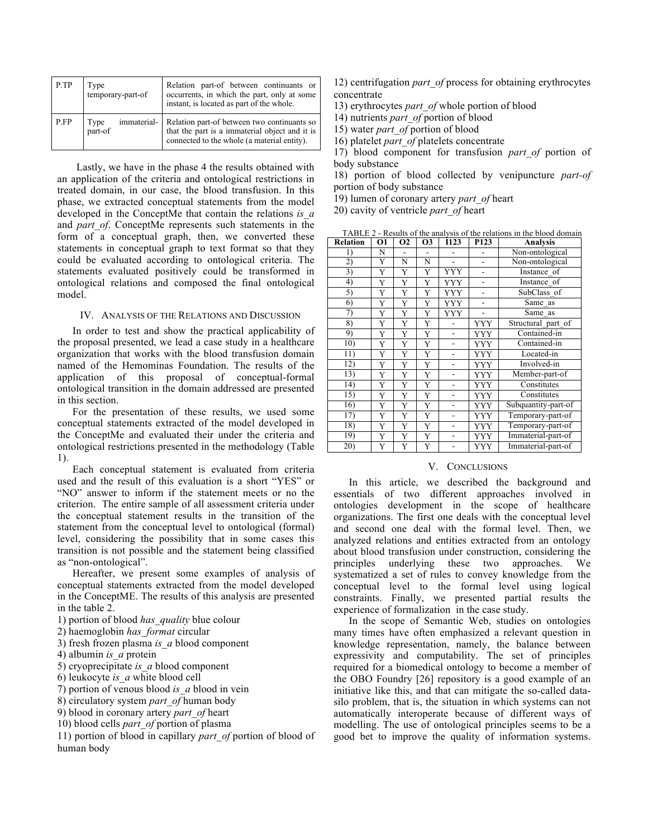| P.TP | Type<br>temporary-part-of      | Relation part-of between continuants or<br>occurrents, in which the part, only at some<br>instant, is located as part of the whole.          |  |  |  |
|------|--------------------------------|----------------------------------------------------------------------------------------------------------------------------------------------|--|--|--|
| P.FP | immaterial-<br>Type<br>part-of | Relation part-of between two continuants so<br>that the part is a immaterial object and it is<br>connected to the whole (a material entity). |  |  |  |

Lastly, we have in the phase 4 the results obtained with an application of the criteria and ontological restrictions in treated domain, in our case, the blood transfusion. In this phase, we extracted conceptual statements from the model developed in the ConceptMe that contain the relations *is\_a* and *part of*. ConceptMe represents such statements in the form of a conceptual graph, then, we converted these statements in conceptual graph to text format so that they could be evaluated according to ontological criteria. The statements evaluated positively could be transformed in ontological relations and composed the final ontological model.

# IV. ANALYSIS OF THE RELATIONS AND DISCUSSION

In order to test and show the practical applicability of the proposal presented, we lead a case study in a healthcare organization that works with the blood transfusion domain named of the Hemominas Foundation. The results of the application of this proposal of conceptual-formal ontological transition in the domain addressed are presented in this section.

For the presentation of these results, we used some conceptual statements extracted of the model developed in the ConceptMe and evaluated their under the criteria and ontological restrictions presented in the methodology (Table 1).

Each conceptual statement is evaluated from criteria used and the result of this evaluation is a short "YES" or "NO" answer to inform if the statement meets or no the criterion. The entire sample of all assessment criteria under the conceptual statement results in the transition of the statement from the conceptual level to ontological (formal) level, considering the possibility that in some cases this transition is not possible and the statement being classified as "non-ontological".

Hereafter, we present some examples of analysis of conceptual statements extracted from the model developed in the ConceptME. The results of this analysis are presented in the table 2.

- 1) portion of blood *has\_quality* blue colour
- 2) haemoglobin *has\_format* circular
- 3) fresh frozen plasma *is\_a* blood component
- 4) albumin *is\_a* protein
- 5) cryoprecipitate *is\_a* blood component
- 6) leukocyte *is\_a* white blood cell
- 7) portion of venous blood *is\_a* blood in vein
- 8) circulatory system *part\_of* human body
- 9) blood in coronary artery *part\_of* heart
- 10) blood cells *part\_of* portion of plasma

11) portion of blood in capillary *part\_of* portion of blood of human body

- 12) centrifugation *part\_of* process for obtaining erythrocytes concentrate
- 13) erythrocytes *part\_of* whole portion of blood
- 14) nutrients *part\_of* portion of blood
- 15) water *part\_of* portion of blood
- 16) platelet *part\_of* platelets concentrate

17) blood component for transfusion *part\_of* portion of body substance

18) portion of blood collected by venipuncture *part-of* portion of body substance

19) lumen of coronary artery *part\_of* heart

20) cavity of ventricle *part\_of* heart

| <b>Relation</b> | $\overline{01}$ | $\overline{02}$ | $\overline{03}$ | <b>I123</b>              | P <sub>123</sub> | TADLE $2$ - Results of the analysis of the relations in the brood domain<br><b>Analysis</b> |  |
|-----------------|-----------------|-----------------|-----------------|--------------------------|------------------|---------------------------------------------------------------------------------------------|--|
| $_{1}$          | N               |                 | ۰               |                          |                  | Non-ontological                                                                             |  |
| 2)              | Y               | N               | N               |                          |                  | Non-ontological                                                                             |  |
| 3)              | Y               | Y               | Y               | YYY                      |                  | Instance of                                                                                 |  |
| 4)              | Y               | Y               | Y               | <b>YYY</b>               | L,               | Instance of                                                                                 |  |
| 5)              | Y               | Y               | Y               | YYY                      |                  | SubClass of                                                                                 |  |
| 6)              | Y               | Y               | Y               | <b>YYY</b>               |                  | Same_as                                                                                     |  |
| 7)              | Y               | Y               | Y               | <b>YYY</b>               | L,               | Same as                                                                                     |  |
| 8)              | Y               | Y               | Y               |                          | <b>YYY</b>       | Structural_part_of                                                                          |  |
| 9)              | Y               | Y               | Y               | L.                       | <b>YYY</b>       | Contained-in                                                                                |  |
| 10)             | Y               | Y               | Y               |                          | <b>YYY</b>       | Contained-in                                                                                |  |
| 11)             | Y               | Y               | Y               |                          | <b>YYY</b>       | Located-in                                                                                  |  |
| 12)             | Y               | Y               | Y               |                          | <b>YYY</b>       | Involved-in                                                                                 |  |
| 13)             | Y               | Y               | Y               | $\overline{\phantom{0}}$ | <b>YYY</b>       | Member-part-of                                                                              |  |
| 14)             | Y               | Y               | Y               |                          | <b>YYY</b>       | Constitutes                                                                                 |  |
| 15)             | Y               | Y               | Y               |                          | <b>YYY</b>       | Constitutes                                                                                 |  |
| 16)             | Y               | Y               | Y               |                          | <b>YYY</b>       | Subquantity-part-of                                                                         |  |
| 17)             | Y               | Y               | Y               |                          | <b>YYY</b>       | Temporary-part-of                                                                           |  |
| 18)             | Y               | Y               | Y               |                          | <b>YYY</b>       | Temporary-part-of                                                                           |  |
| 19)             | Y               | Y               | Y               |                          | <b>YYY</b>       | Immaterial-part-of                                                                          |  |
| $\overline{20}$ | Y               | Y               | Y               |                          | <b>YYY</b>       | Immaterial-part-of                                                                          |  |

# TABLE 2 - Results of the analysis of the relations in the blood domain

## V. CONCLUSIONS

In this article, we described the background and essentials of two different approaches involved in ontologies development in the scope of healthcare organizations. The first one deals with the conceptual level and second one deal with the formal level. Then, we analyzed relations and entities extracted from an ontology about blood transfusion under construction, considering the principles underlying these two approaches. We systematized a set of rules to convey knowledge from the conceptual level to the formal level using logical constraints. Finally, we presented partial results the experience of formalization in the case study.

In the scope of Semantic Web, studies on ontologies many times have often emphasized a relevant question in knowledge representation, namely, the balance between expressivity and computability. The set of principles required for a biomedical ontology to become a member of the OBO Foundry [26] repository is a good example of an initiative like this, and that can mitigate the so-called datasilo problem, that is, the situation in which systems can not automatically interoperate because of different ways of modelling. The use of ontological principles seems to be a good bet to improve the quality of information systems.